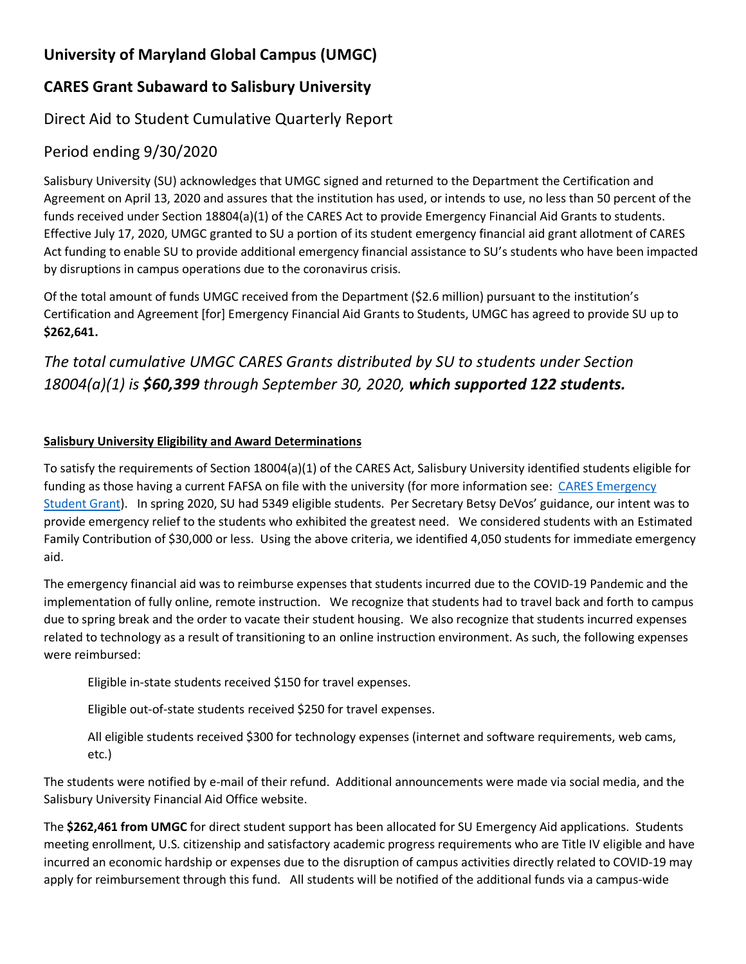# **University of Maryland Global Campus (UMGC)**

## **CARES Grant Subaward to Salisbury University**

### Direct Aid to Student Cumulative Quarterly Report

#### Period ending 9/30/2020

Salisbury University (SU) acknowledges that UMGC signed and returned to the Department the Certification and Agreement on April 13, 2020 and assures that the institution has used, or intends to use, no less than 50 percent of the funds received under Section 18804(a)(1) of the CARES Act to provide Emergency Financial Aid Grants to students. Effective July 17, 2020, UMGC granted to SU a portion of its student emergency financial aid grant allotment of CARES Act funding to enable SU to provide additional emergency financial assistance to SU's students who have been impacted by disruptions in campus operations due to the coronavirus crisis.

Of the total amount of funds UMGC received from the Department (\$2.6 million) pursuant to the institution's Certification and Agreement [for] Emergency Financial Aid Grants to Students, UMGC has agreed to provide SU up to **\$262,641.**

# *The total cumulative UMGC CARES Grants distributed by SU to students under Section 18004(a)(1) is \$60,399 through September 30, 2020, which supported 122 students.*

#### **Salisbury University Eligibility and Award Determinations**

To satisfy the requirements of Section 18004(a)(1) of the CARES Act, Salisbury University identified students eligible for funding as those having a current FAFSA on file with the university (for more information see: [CARES Emergency](https://www.salisbury.edu/admissions/financial-aid/cares-emergency.aspx)  [Student Grant\)](https://www.salisbury.edu/admissions/financial-aid/cares-emergency.aspx). In spring 2020, SU had 5349 eligible students. Per Secretary Betsy DeVos' guidance, our intent was to provide emergency relief to the students who exhibited the greatest need. We considered students with an Estimated Family Contribution of \$30,000 or less. Using the above criteria, we identified 4,050 students for immediate emergency aid.

The emergency financial aid was to reimburse expenses that students incurred due to the COVID-19 Pandemic and the implementation of fully online, remote instruction. We recognize that students had to travel back and forth to campus due to spring break and the order to vacate their student housing. We also recognize that students incurred expenses related to technology as a result of transitioning to an online instruction environment. As such, the following expenses were reimbursed:

Eligible in-state students received \$150 for travel expenses.

Eligible out-of-state students received \$250 for travel expenses.

All eligible students received \$300 for technology expenses (internet and software requirements, web cams, etc.)

The students were notified by e-mail of their refund. Additional announcements were made via social media, and the Salisbury University Financial Aid Office website.

The **\$262,461 from UMGC** for direct student support has been allocated for SU Emergency Aid applications. Students meeting enrollment, U.S. citizenship and satisfactory academic progress requirements who are Title IV eligible and have incurred an economic hardship or expenses due to the disruption of campus activities directly related to COVID-19 may apply for reimbursement through this fund. All students will be notified of the additional funds via a campus-wide